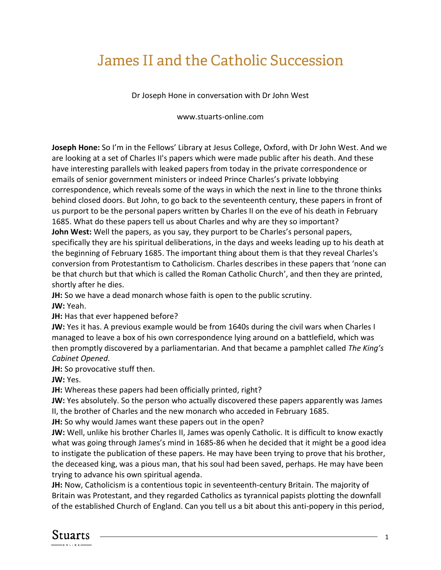## James II and the Catholic Succession

Dr Joseph Hone in conversation with Dr John West

www.stuarts-online.com

**Joseph Hone:** So I'm in the Fellows' Library at Jesus College, Oxford, with Dr John West. And we are looking at a set of Charles II's papers which were made public after his death. And these have interesting parallels with leaked papers from today in the private correspondence or emails of senior government ministers or indeed Prince Charles's private lobbying correspondence, which reveals some of the ways in which the next in line to the throne thinks behind closed doors. But John, to go back to the seventeenth century, these papers in front of us purport to be the personal papers written by Charles II on the eve of his death in February 1685. What do these papers tell us about Charles and why are they so important? **John West:** Well the papers, as you say, they purport to be Charles's personal papers, specifically they are his spiritual deliberations, in the days and weeks leading up to his death at the beginning of February 1685. The important thing about them is that they reveal Charles's conversion from Protestantism to Catholicism. Charles describes in these papers that 'none can be that church but that which is called the Roman Catholic Church', and then they are printed,

shortly after he dies.

**JH:** So we have a dead monarch whose faith is open to the public scrutiny.

**JW:** Yeah.

**JH:** Has that ever happened before?

**JW:** Yes it has. A previous example would be from 1640s during the civil wars when Charles I managed to leave a box of his own correspondence lying around on a battlefield, which was then promptly discovered by a parliamentarian. And that became a pamphlet called *The King's Cabinet Opened*.

**JH:** So provocative stuff then.

**JW:** Yes.

**JH:** Whereas these papers had been officially printed, right?

**JW:** Yes absolutely. So the person who actually discovered these papers apparently was James II, the brother of Charles and the new monarch who acceded in February 1685.

**JH:** So why would James want these papers out in the open?

**JW:** Well, unlike his brother Charles II, James was openly Catholic. It is difficult to know exactly what was going through James's mind in 1685-86 when he decided that it might be a good idea to instigate the publication of these papers. He may have been trying to prove that his brother, the deceased king, was a pious man, that his soul had been saved, perhaps. He may have been trying to advance his own spiritual agenda.

**JH:** Now, Catholicism is a contentious topic in seventeenth-century Britain. The majority of Britain was Protestant, and they regarded Catholics as tyrannical papists plotting the downfall of the established Church of England. Can you tell us a bit about this anti-popery in this period,

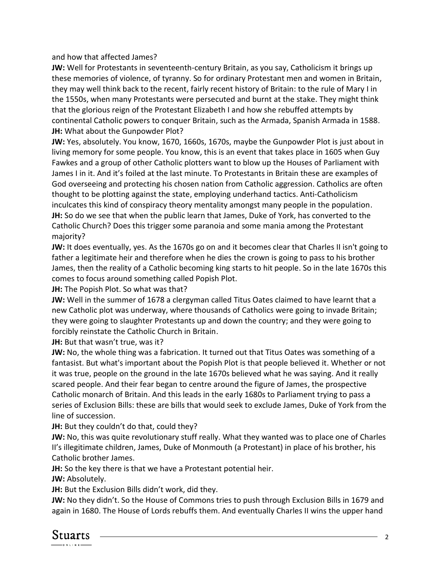and how that affected James?

**JW:** Well for Protestants in seventeenth-century Britain, as you say, Catholicism it brings up these memories of violence, of tyranny. So for ordinary Protestant men and women in Britain, they may well think back to the recent, fairly recent history of Britain: to the rule of Mary I in the 1550s, when many Protestants were persecuted and burnt at the stake. They might think that the glorious reign of the Protestant Elizabeth I and how she rebuffed attempts by continental Catholic powers to conquer Britain, such as the Armada, Spanish Armada in 1588. **JH:** What about the Gunpowder Plot?

**JW:** Yes, absolutely. You know, 1670, 1660s, 1670s, maybe the Gunpowder Plot is just about in living memory for some people. You know, this is an event that takes place in 1605 when Guy Fawkes and a group of other Catholic plotters want to blow up the Houses of Parliament with James I in it. And it's foiled at the last minute. To Protestants in Britain these are examples of God overseeing and protecting his chosen nation from Catholic aggression. Catholics are often thought to be plotting against the state, employing underhand tactics. Anti-Catholicism inculcates this kind of conspiracy theory mentality amongst many people in the population. **JH:** So do we see that when the public learn that James, Duke of York, has converted to the Catholic Church? Does this trigger some paranoia and some mania among the Protestant majority?

**JW:** It does eventually, yes. As the 1670s go on and it becomes clear that Charles II isn't going to father a legitimate heir and therefore when he dies the crown is going to pass to his brother James, then the reality of a Catholic becoming king starts to hit people. So in the late 1670s this comes to focus around something called Popish Plot.

**JH:** The Popish Plot. So what was that?

**JW:** Well in the summer of 1678 a clergyman called Titus Oates claimed to have learnt that a new Catholic plot was underway, where thousands of Catholics were going to invade Britain; they were going to slaughter Protestants up and down the country; and they were going to forcibly reinstate the Catholic Church in Britain.

**JH:** But that wasn't true, was it?

**JW:** No, the whole thing was a fabrication. It turned out that Titus Oates was something of a fantasist. But what's important about the Popish Plot is that people believed it. Whether or not it was true, people on the ground in the late 1670s believed what he was saying. And it really scared people. And their fear began to centre around the figure of James, the prospective Catholic monarch of Britain. And this leads in the early 1680s to Parliament trying to pass a series of Exclusion Bills: these are bills that would seek to exclude James, Duke of York from the line of succession.

**JH:** But they couldn't do that, could they?

**JW:** No, this was quite revolutionary stuff really. What they wanted was to place one of Charles II's illegitimate children, James, Duke of Monmouth (a Protestant) in place of his brother, his Catholic brother James.

**JH:** So the key there is that we have a Protestant potential heir.

**JW:** Absolutely.

**JH:** But the Exclusion Bills didn't work, did they.

**JW:** No they didn't. So the House of Commons tries to push through Exclusion Bills in 1679 and again in 1680. The House of Lords rebuffs them. And eventually Charles II wins the upper hand

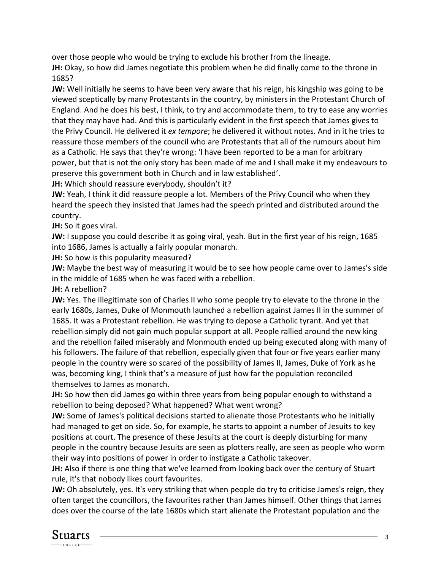over those people who would be trying to exclude his brother from the lineage.

**JH:** Okay, so how did James negotiate this problem when he did finally come to the throne in 1685?

**JW:** Well initially he seems to have been very aware that his reign, his kingship was going to be viewed sceptically by many Protestants in the country, by ministers in the Protestant Church of England. And he does his best, I think, to try and accommodate them, to try to ease any worries that they may have had. And this is particularly evident in the first speech that James gives to the Privy Council. He delivered it *ex tempore*; he delivered it without notes. And in it he tries to reassure those members of the council who are Protestants that all of the rumours about him as a Catholic. He says that they're wrong: 'I have been reported to be a man for arbitrary power, but that is not the only story has been made of me and I shall make it my endeavours to preserve this government both in Church and in law established'.

**JH:** Which should reassure everybody, shouldn't it?

**JW:** Yeah, I think it did reassure people a lot. Members of the Privy Council who when they heard the speech they insisted that James had the speech printed and distributed around the country.

**JH:** So it goes viral.

**JW:** I suppose you could describe it as going viral, yeah. But in the first year of his reign, 1685 into 1686, James is actually a fairly popular monarch.

**JH:** So how is this popularity measured?

**JW:** Maybe the best way of measuring it would be to see how people came over to James's side in the middle of 1685 when he was faced with a rebellion.

**JH:** A rebellion?

**JW:** Yes. The illegitimate son of Charles II who some people try to elevate to the throne in the early 1680s, James, Duke of Monmouth launched a rebellion against James II in the summer of 1685. It was a Protestant rebellion. He was trying to depose a Catholic tyrant. And yet that rebellion simply did not gain much popular support at all. People rallied around the new king and the rebellion failed miserably and Monmouth ended up being executed along with many of his followers. The failure of that rebellion, especially given that four or five years earlier many people in the country were so scared of the possibility of James II, James, Duke of York as he was, becoming king, I think that's a measure of just how far the population reconciled themselves to James as monarch.

**JH:** So how then did James go within three years from being popular enough to withstand a rebellion to being deposed? What happened? What went wrong?

**JW:** Some of James's political decisions started to alienate those Protestants who he initially had managed to get on side. So, for example, he starts to appoint a number of Jesuits to key positions at court. The presence of these Jesuits at the court is deeply disturbing for many people in the country because Jesuits are seen as plotters really, are seen as people who worm their way into positions of power in order to instigate a Catholic takeover.

**JH:** Also if there is one thing that we've learned from looking back over the century of Stuart rule, it's that nobody likes court favourites.

**JW:** Oh absolutely, yes. It's very striking that when people do try to criticise James's reign, they often target the councillors, the favourites rather than James himself. Other things that James does over the course of the late 1680s which start alienate the Protestant population and the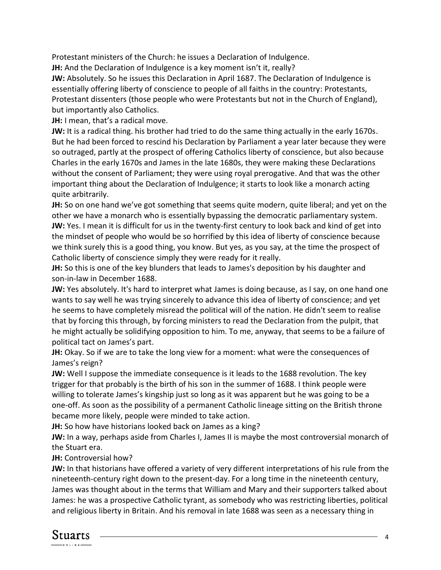Protestant ministers of the Church: he issues a Declaration of Indulgence.

**JH:** And the Declaration of Indulgence is a key moment isn't it, really?

**JW:** Absolutely. So he issues this Declaration in April 1687. The Declaration of Indulgence is essentially offering liberty of conscience to people of all faiths in the country: Protestants, Protestant dissenters (those people who were Protestants but not in the Church of England), but importantly also Catholics.

**JH:** I mean, that's a radical move.

**JW:** It is a radical thing. his brother had tried to do the same thing actually in the early 1670s. But he had been forced to rescind his Declaration by Parliament a year later because they were so outraged, partly at the prospect of offering Catholics liberty of conscience, but also because Charles in the early 1670s and James in the late 1680s, they were making these Declarations without the consent of Parliament; they were using royal prerogative. And that was the other important thing about the Declaration of Indulgence; it starts to look like a monarch acting quite arbitrarily.

**JH:** So on one hand we've got something that seems quite modern, quite liberal; and yet on the other we have a monarch who is essentially bypassing the democratic parliamentary system. **JW:** Yes. I mean it is difficult for us in the twenty-first century to look back and kind of get into the mindset of people who would be so horrified by this idea of liberty of conscience because we think surely this is a good thing, you know. But yes, as you say, at the time the prospect of Catholic liberty of conscience simply they were ready for it really.

**JH:** So this is one of the key blunders that leads to James's deposition by his daughter and son-in-law in December 1688.

**JW:** Yes absolutely. It's hard to interpret what James is doing because, as I say, on one hand one wants to say well he was trying sincerely to advance this idea of liberty of conscience; and yet he seems to have completely misread the political will of the nation. He didn't seem to realise that by forcing this through, by forcing ministers to read the Declaration from the pulpit, that he might actually be solidifying opposition to him. To me, anyway, that seems to be a failure of political tact on James's part.

**JH:** Okay. So if we are to take the long view for a moment: what were the consequences of James's reign?

**JW:** Well I suppose the immediate consequence is it leads to the 1688 revolution. The key trigger for that probably is the birth of his son in the summer of 1688. I think people were willing to tolerate James's kingship just so long as it was apparent but he was going to be a one-off. As soon as the possibility of a permanent Catholic lineage sitting on the British throne became more likely, people were minded to take action.

**JH:** So how have historians looked back on James as a king?

**JW:** In a way, perhaps aside from Charles I, James II is maybe the most controversial monarch of the Stuart era.

**JH:** Controversial how?

**JW:** In that historians have offered a variety of very different interpretations of his rule from the nineteenth-century right down to the present-day. For a long time in the nineteenth century, James was thought about in the terms that William and Mary and their supporters talked about James: he was a prospective Catholic tyrant, as somebody who was restricting liberties, political and religious liberty in Britain. And his removal in late 1688 was seen as a necessary thing in